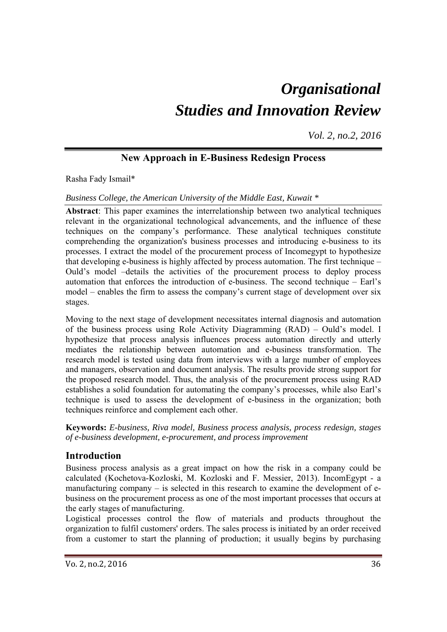# *Organisational Studies and Innovation Review*

*Vol. 2, no.2, 2016*

# **New Approach in E-Business Redesign Process**

Rasha Fady Ismail\*

*Business College, the American University of the Middle East, Kuwait \** 

**Abstract**: This paper examines the interrelationship between two analytical techniques relevant in the organizational technological advancements, and the influence of these techniques on the company's performance. These analytical techniques constitute comprehending the organization's business processes and introducing e-business to its processes. I extract the model of the procurement process of Incomegypt to hypothesize that developing e-business is highly affected by process automation. The first technique – Ould's model –details the activities of the procurement process to deploy process automation that enforces the introduction of e-business. The second technique – Earl's model – enables the firm to assess the company's current stage of development over six stages.

Moving to the next stage of development necessitates internal diagnosis and automation of the business process using Role Activity Diagramming (RAD) – Ould's model. I hypothesize that process analysis influences process automation directly and utterly mediates the relationship between automation and e-business transformation. The research model is tested using data from interviews with a large number of employees and managers, observation and document analysis. The results provide strong support for the proposed research model. Thus, the analysis of the procurement process using RAD establishes a solid foundation for automating the company's processes, while also Earl's technique is used to assess the development of e-business in the organization; both techniques reinforce and complement each other.

**Keywords:** *E-business, Riva model, Business process analysis, process redesign, stages of e-business development, e-procurement, and process improvement* 

## **Introduction**

Business process analysis as a great impact on how the risk in a company could be calculated (Kochetova-Kozloski, M. Kozloski and F. Messier, 2013). IncomEgypt - a manufacturing company – is selected in this research to examine the development of ebusiness on the procurement process as one of the most important processes that occurs at the early stages of manufacturing.

Logistical processes control the flow of materials and products throughout the organization to fulfil customers' orders. The sales process is initiated by an order received from a customer to start the planning of production; it usually begins by purchasing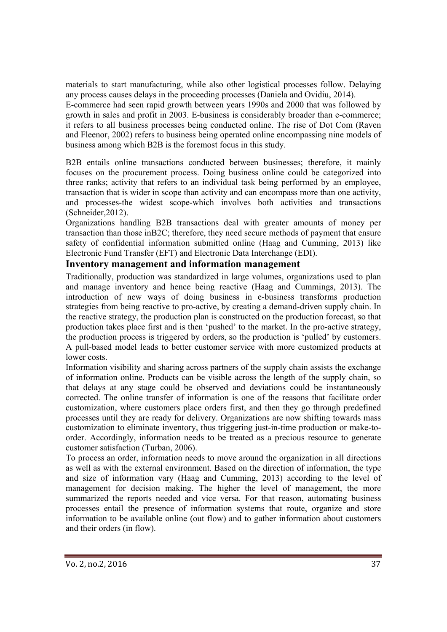materials to start manufacturing, while also other logistical processes follow. Delaying any process causes delays in the proceeding processes (Daniela and Ovidiu, 2014).

E-commerce had seen rapid growth between years 1990s and 2000 that was followed by growth in sales and profit in 2003. E-business is considerably broader than e-commerce; it refers to all business processes being conducted online. The rise of Dot Com (Raven and Fleenor, 2002) refers to business being operated online encompassing nine models of business among which B2B is the foremost focus in this study.

B2B entails online transactions conducted between businesses; therefore, it mainly focuses on the procurement process. Doing business online could be categorized into three ranks; activity that refers to an individual task being performed by an employee, transaction that is wider in scope than activity and can encompass more than one activity, and processes-the widest scope-which involves both activities and transactions (Schneider,2012).

Organizations handling B2B transactions deal with greater amounts of money per transaction than those inB2C; therefore, they need secure methods of payment that ensure safety of confidential information submitted online (Haag and Cumming, 2013) like Electronic Fund Transfer (EFT) and Electronic Data Interchange (EDI).

#### **Inventory management and information management**

Traditionally, production was standardized in large volumes, organizations used to plan and manage inventory and hence being reactive (Haag and Cummings, 2013). The introduction of new ways of doing business in e-business transforms production strategies from being reactive to pro-active, by creating a demand-driven supply chain. In the reactive strategy, the production plan is constructed on the production forecast, so that production takes place first and is then 'pushed' to the market. In the pro-active strategy, the production process is triggered by orders, so the production is 'pulled' by customers. A pull-based model leads to better customer service with more customized products at lower costs.

Information visibility and sharing across partners of the supply chain assists the exchange of information online. Products can be visible across the length of the supply chain, so that delays at any stage could be observed and deviations could be instantaneously corrected. The online transfer of information is one of the reasons that facilitate order customization, where customers place orders first, and then they go through predefined processes until they are ready for delivery. Organizations are now shifting towards mass customization to eliminate inventory, thus triggering just-in-time production or make-toorder. Accordingly, information needs to be treated as a precious resource to generate customer satisfaction (Turban, 2006).

To process an order, information needs to move around the organization in all directions as well as with the external environment. Based on the direction of information, the type and size of information vary (Haag and Cumming, 2013) according to the level of management for decision making. The higher the level of management, the more summarized the reports needed and vice versa. For that reason, automating business processes entail the presence of information systems that route, organize and store information to be available online (out flow) and to gather information about customers and their orders (in flow).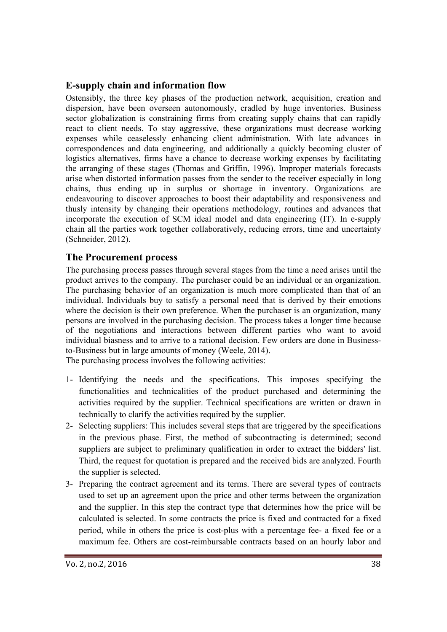## **E-supply chain and information flow**

Ostensibly, the three key phases of the production network, acquisition, creation and dispersion, have been overseen autonomously, cradled by huge inventories. Business sector globalization is constraining firms from creating supply chains that can rapidly react to client needs. To stay aggressive, these organizations must decrease working expenses while ceaselessly enhancing client administration. With late advances in correspondences and data engineering, and additionally a quickly becoming cluster of logistics alternatives, firms have a chance to decrease working expenses by facilitating the arranging of these stages (Thomas and Griffin, 1996). Improper materials forecasts arise when distorted information passes from the sender to the receiver especially in long chains, thus ending up in surplus or shortage in inventory. Organizations are endeavouring to discover approaches to boost their adaptability and responsiveness and thusly intensity by changing their operations methodology, routines and advances that incorporate the execution of SCM ideal model and data engineering (IT). In e-supply chain all the parties work together collaboratively, reducing errors, time and uncertainty (Schneider, 2012).

## **The Procurement process**

The purchasing process passes through several stages from the time a need arises until the product arrives to the company. The purchaser could be an individual or an organization. The purchasing behavior of an organization is much more complicated than that of an individual. Individuals buy to satisfy a personal need that is derived by their emotions where the decision is their own preference. When the purchaser is an organization, many persons are involved in the purchasing decision. The process takes a longer time because of the negotiations and interactions between different parties who want to avoid individual biasness and to arrive to a rational decision. Few orders are done in Businessto-Business but in large amounts of money (Weele, 2014).

The purchasing process involves the following activities:

- 1- Identifying the needs and the specifications. This imposes specifying the functionalities and technicalities of the product purchased and determining the activities required by the supplier. Technical specifications are written or drawn in technically to clarify the activities required by the supplier.
- 2- Selecting suppliers: This includes several steps that are triggered by the specifications in the previous phase. First, the method of subcontracting is determined; second suppliers are subject to preliminary qualification in order to extract the bidders' list. Third, the request for quotation is prepared and the received bids are analyzed. Fourth the supplier is selected.
- 3- Preparing the contract agreement and its terms. There are several types of contracts used to set up an agreement upon the price and other terms between the organization and the supplier. In this step the contract type that determines how the price will be calculated is selected. In some contracts the price is fixed and contracted for a fixed period, while in others the price is cost-plus with a percentage fee- a fixed fee or a maximum fee. Others are cost-reimbursable contracts based on an hourly labor and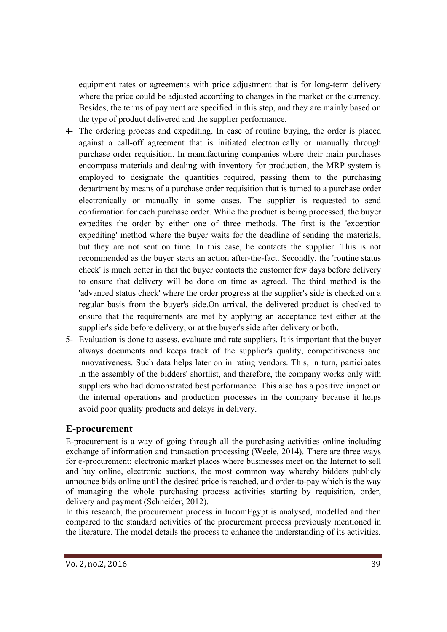equipment rates or agreements with price adjustment that is for long-term delivery where the price could be adjusted according to changes in the market or the currency. Besides, the terms of payment are specified in this step, and they are mainly based on the type of product delivered and the supplier performance.

- 4- The ordering process and expediting. In case of routine buying, the order is placed against a call-off agreement that is initiated electronically or manually through purchase order requisition. In manufacturing companies where their main purchases encompass materials and dealing with inventory for production, the MRP system is employed to designate the quantities required, passing them to the purchasing department by means of a purchase order requisition that is turned to a purchase order electronically or manually in some cases. The supplier is requested to send confirmation for each purchase order. While the product is being processed, the buyer expedites the order by either one of three methods. The first is the 'exception expediting' method where the buyer waits for the deadline of sending the materials, but they are not sent on time. In this case, he contacts the supplier. This is not recommended as the buyer starts an action after-the-fact. Secondly, the 'routine status check' is much better in that the buyer contacts the customer few days before delivery to ensure that delivery will be done on time as agreed. The third method is the 'advanced status check' where the order progress at the supplier's side is checked on a regular basis from the buyer's side.On arrival, the delivered product is checked to ensure that the requirements are met by applying an acceptance test either at the supplier's side before delivery, or at the buyer's side after delivery or both.
- 5- Evaluation is done to assess, evaluate and rate suppliers. It is important that the buyer always documents and keeps track of the supplier's quality, competitiveness and innovativeness. Such data helps later on in rating vendors. This, in turn, participates in the assembly of the bidders' shortlist, and therefore, the company works only with suppliers who had demonstrated best performance. This also has a positive impact on the internal operations and production processes in the company because it helps avoid poor quality products and delays in delivery.

## **E-procurement**

E-procurement is a way of going through all the purchasing activities online including exchange of information and transaction processing (Weele, 2014). There are three ways for e-procurement: electronic market places where businesses meet on the Internet to sell and buy online, electronic auctions, the most common way whereby bidders publicly announce bids online until the desired price is reached, and order-to-pay which is the way of managing the whole purchasing process activities starting by requisition, order, delivery and payment (Schneider, 2012).

In this research, the procurement process in IncomEgypt is analysed, modelled and then compared to the standard activities of the procurement process previously mentioned in the literature. The model details the process to enhance the understanding of its activities,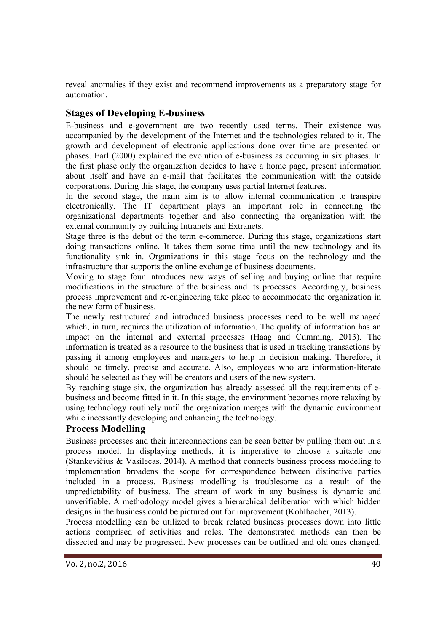reveal anomalies if they exist and recommend improvements as a preparatory stage for automation.

# **Stages of Developing E-business**

E-business and e-government are two recently used terms. Their existence was accompanied by the development of the Internet and the technologies related to it. The growth and development of electronic applications done over time are presented on phases. Earl (2000) explained the evolution of e-business as occurring in six phases. In the first phase only the organization decides to have a home page, present information about itself and have an e-mail that facilitates the communication with the outside corporations. During this stage, the company uses partial Internet features.

In the second stage, the main aim is to allow internal communication to transpire electronically. The IT department plays an important role in connecting the organizational departments together and also connecting the organization with the external community by building Intranets and Extranets.

Stage three is the debut of the term e-commerce. During this stage, organizations start doing transactions online. It takes them some time until the new technology and its functionality sink in. Organizations in this stage focus on the technology and the infrastructure that supports the online exchange of business documents.

Moving to stage four introduces new ways of selling and buying online that require modifications in the structure of the business and its processes. Accordingly, business process improvement and re-engineering take place to accommodate the organization in the new form of business.

The newly restructured and introduced business processes need to be well managed which, in turn, requires the utilization of information. The quality of information has an impact on the internal and external processes (Haag and Cumming, 2013). The information is treated as a resource to the business that is used in tracking transactions by passing it among employees and managers to help in decision making. Therefore, it should be timely, precise and accurate. Also, employees who are information-literate should be selected as they will be creators and users of the new system.

By reaching stage six, the organization has already assessed all the requirements of ebusiness and become fitted in it. In this stage, the environment becomes more relaxing by using technology routinely until the organization merges with the dynamic environment while incessantly developing and enhancing the technology.

## **Process Modelling**

Business processes and their interconnections can be seen better by pulling them out in a process model. In displaying methods, it is imperative to choose a suitable one (Stankevičius & Vasilecas, 2014). A method that connects business process modeling to implementation broadens the scope for correspondence between distinctive parties included in a process. Business modelling is troublesome as a result of the unpredictability of business. The stream of work in any business is dynamic and unverifiable. A methodology model gives a hierarchical deliberation with which hidden designs in the business could be pictured out for improvement (Kohlbacher, 2013).

Process modelling can be utilized to break related business processes down into little actions comprised of activities and roles. The demonstrated methods can then be dissected and may be progressed. New processes can be outlined and old ones changed.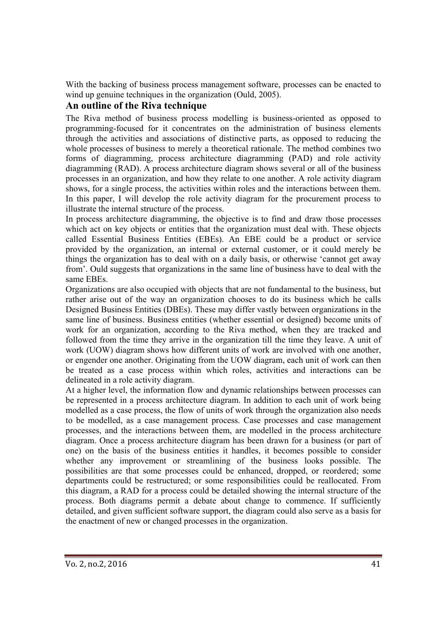With the backing of business process management software, processes can be enacted to wind up genuine techniques in the organization (Ould, 2005).

# **An outline of the Riva technique**

The Riva method of business process modelling is business-oriented as opposed to programming-focused for it concentrates on the administration of business elements through the activities and associations of distinctive parts, as opposed to reducing the whole processes of business to merely a theoretical rationale. The method combines two forms of diagramming, process architecture diagramming (PAD) and role activity diagramming (RAD). A process architecture diagram shows several or all of the business processes in an organization, and how they relate to one another. A role activity diagram shows, for a single process, the activities within roles and the interactions between them. In this paper, I will develop the role activity diagram for the procurement process to illustrate the internal structure of the process.

In process architecture diagramming, the objective is to find and draw those processes which act on key objects or entities that the organization must deal with. These objects called Essential Business Entities (EBEs). An EBE could be a product or service provided by the organization, an internal or external customer, or it could merely be things the organization has to deal with on a daily basis, or otherwise 'cannot get away from'. Ould suggests that organizations in the same line of business have to deal with the same EBEs.

Organizations are also occupied with objects that are not fundamental to the business, but rather arise out of the way an organization chooses to do its business which he calls Designed Business Entities (DBEs). These may differ vastly between organizations in the same line of business. Business entities (whether essential or designed) become units of work for an organization, according to the Riva method, when they are tracked and followed from the time they arrive in the organization till the time they leave. A unit of work (UOW) diagram shows how different units of work are involved with one another, or engender one another. Originating from the UOW diagram, each unit of work can then be treated as a case process within which roles, activities and interactions can be delineated in a role activity diagram.

At a higher level, the information flow and dynamic relationships between processes can be represented in a process architecture diagram. In addition to each unit of work being modelled as a case process, the flow of units of work through the organization also needs to be modelled, as a case management process. Case processes and case management processes, and the interactions between them, are modelled in the process architecture diagram. Once a process architecture diagram has been drawn for a business (or part of one) on the basis of the business entities it handles, it becomes possible to consider whether any improvement or streamlining of the business looks possible. The possibilities are that some processes could be enhanced, dropped, or reordered; some departments could be restructured; or some responsibilities could be reallocated. From this diagram, a RAD for a process could be detailed showing the internal structure of the process. Both diagrams permit a debate about change to commence. If sufficiently detailed, and given sufficient software support, the diagram could also serve as a basis for the enactment of new or changed processes in the organization.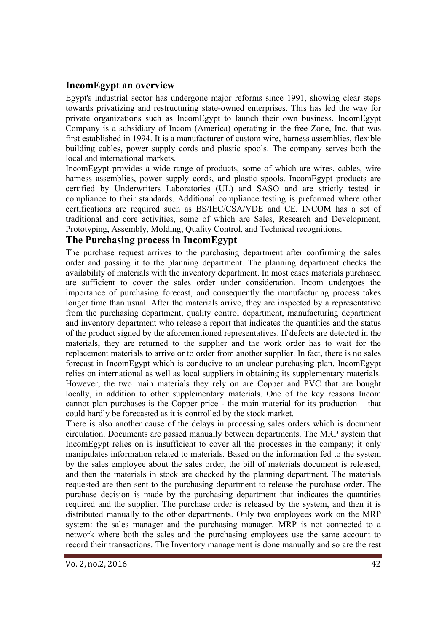## **IncomEgypt an overview**

Egypt's industrial sector has undergone major reforms since 1991, showing clear steps towards privatizing and restructuring state-owned enterprises. This has led the way for private organizations such as IncomEgypt to launch their own business. IncomEgypt Company is a subsidiary of Incom (America) operating in the free Zone, Inc. that was first established in 1994. It is a manufacturer of custom wire, harness assemblies, flexible building cables, power supply cords and plastic spools. The company serves both the local and international markets.

IncomEgypt provides a wide range of products, some of which are wires, cables, wire harness assemblies, power supply cords, and plastic spools. IncomEgypt products are certified by Underwriters Laboratories (UL) and SASO and are strictly tested in compliance to their standards. Additional compliance testing is preformed where other certifications are required such as BS/IEC/CSA/VDE and CE. INCOM has a set of traditional and core activities, some of which are Sales, Research and Development, Prototyping, Assembly, Molding, Quality Control, and Technical recognitions.

## **The Purchasing process in IncomEgypt**

The purchase request arrives to the purchasing department after confirming the sales order and passing it to the planning department. The planning department checks the availability of materials with the inventory department. In most cases materials purchased are sufficient to cover the sales order under consideration. Incom undergoes the importance of purchasing forecast, and consequently the manufacturing process takes longer time than usual. After the materials arrive, they are inspected by a representative from the purchasing department, quality control department, manufacturing department and inventory department who release a report that indicates the quantities and the status of the product signed by the aforementioned representatives. If defects are detected in the materials, they are returned to the supplier and the work order has to wait for the replacement materials to arrive or to order from another supplier. In fact, there is no sales forecast in IncomEgypt which is conducive to an unclear purchasing plan. IncomEgypt relies on international as well as local suppliers in obtaining its supplementary materials. However, the two main materials they rely on are Copper and PVC that are bought locally, in addition to other supplementary materials. One of the key reasons Incom cannot plan purchases is the Copper price - the main material for its production – that could hardly be forecasted as it is controlled by the stock market.

There is also another cause of the delays in processing sales orders which is document circulation. Documents are passed manually between departments. The MRP system that IncomEgypt relies on is insufficient to cover all the processes in the company; it only manipulates information related to materials. Based on the information fed to the system by the sales employee about the sales order, the bill of materials document is released, and then the materials in stock are checked by the planning department. The materials requested are then sent to the purchasing department to release the purchase order. The purchase decision is made by the purchasing department that indicates the quantities required and the supplier. The purchase order is released by the system, and then it is distributed manually to the other departments. Only two employees work on the MRP system: the sales manager and the purchasing manager. MRP is not connected to a network where both the sales and the purchasing employees use the same account to record their transactions. The Inventory management is done manually and so are the rest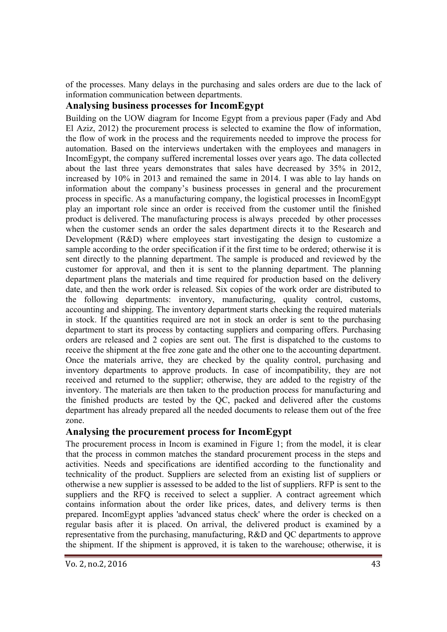of the processes. Many delays in the purchasing and sales orders are due to the lack of information communication between departments.

# **Analysing business processes for IncomEgypt**

Building on the UOW diagram for Income Egypt from a previous paper (Fady and Abd El Aziz, 2012) the procurement process is selected to examine the flow of information, the flow of work in the process and the requirements needed to improve the process for automation. Based on the interviews undertaken with the employees and managers in IncomEgypt, the company suffered incremental losses over years ago. The data collected about the last three years demonstrates that sales have decreased by 35% in 2012, increased by 10% in 2013 and remained the same in 2014. I was able to lay hands on information about the company's business processes in general and the procurement process in specific. As a manufacturing company, the logistical processes in IncomEgypt play an important role since an order is received from the customer until the finished product is delivered. The manufacturing process is always preceded by other processes when the customer sends an order the sales department directs it to the Research and Development (R&D) where employees start investigating the design to customize a sample according to the order specification if it the first time to be ordered; otherwise it is sent directly to the planning department. The sample is produced and reviewed by the customer for approval, and then it is sent to the planning department. The planning department plans the materials and time required for production based on the delivery date, and then the work order is released. Six copies of the work order are distributed to the following departments: inventory, manufacturing, quality control, customs, accounting and shipping. The inventory department starts checking the required materials in stock. If the quantities required are not in stock an order is sent to the purchasing department to start its process by contacting suppliers and comparing offers. Purchasing orders are released and 2 copies are sent out. The first is dispatched to the customs to receive the shipment at the free zone gate and the other one to the accounting department. Once the materials arrive, they are checked by the quality control, purchasing and inventory departments to approve products. In case of incompatibility, they are not received and returned to the supplier; otherwise, they are added to the registry of the inventory. The materials are then taken to the production process for manufacturing and the finished products are tested by the QC, packed and delivered after the customs department has already prepared all the needed documents to release them out of the free zone.

## **Analysing the procurement process for IncomEgypt**

The procurement process in Incom is examined in Figure 1; from the model, it is clear that the process in common matches the standard procurement process in the steps and activities. Needs and specifications are identified according to the functionality and technicality of the product. Suppliers are selected from an existing list of suppliers or otherwise a new supplier is assessed to be added to the list of suppliers. RFP is sent to the suppliers and the RFQ is received to select a supplier. A contract agreement which contains information about the order like prices, dates, and delivery terms is then prepared. IncomEgypt applies 'advanced status check' where the order is checked on a regular basis after it is placed. On arrival, the delivered product is examined by a representative from the purchasing, manufacturing, R&D and QC departments to approve the shipment. If the shipment is approved, it is taken to the warehouse; otherwise, it is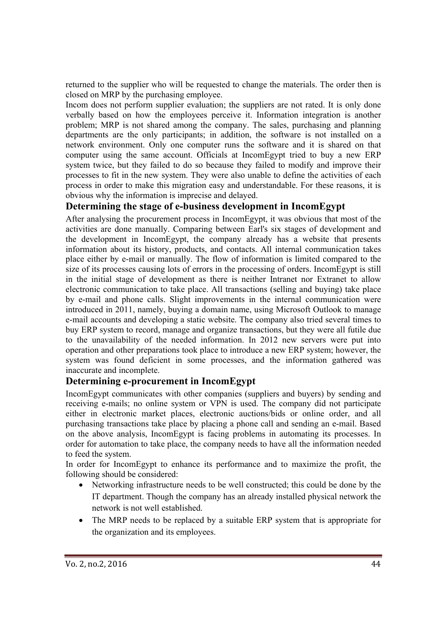returned to the supplier who will be requested to change the materials. The order then is closed on MRP by the purchasing employee.

Incom does not perform supplier evaluation; the suppliers are not rated. It is only done verbally based on how the employees perceive it. Information integration is another problem; MRP is not shared among the company. The sales, purchasing and planning departments are the only participants; in addition, the software is not installed on a network environment. Only one computer runs the software and it is shared on that computer using the same account. Officials at IncomEgypt tried to buy a new ERP system twice, but they failed to do so because they failed to modify and improve their processes to fit in the new system. They were also unable to define the activities of each process in order to make this migration easy and understandable. For these reasons, it is obvious why the information is imprecise and delayed.

## **Determining the stage of e-business development in IncomEgypt**

After analysing the procurement process in IncomEgypt, it was obvious that most of the activities are done manually. Comparing between Earl's six stages of development and the development in IncomEgypt, the company already has a website that presents information about its history, products, and contacts. All internal communication takes place either by e-mail or manually. The flow of information is limited compared to the size of its processes causing lots of errors in the processing of orders. IncomEgypt is still in the initial stage of development as there is neither Intranet nor Extranet to allow electronic communication to take place. All transactions (selling and buying) take place by e-mail and phone calls. Slight improvements in the internal communication were introduced in 2011, namely, buying a domain name, using Microsoft Outlook to manage e-mail accounts and developing a static website. The company also tried several times to buy ERP system to record, manage and organize transactions, but they were all futile due to the unavailability of the needed information. In 2012 new servers were put into operation and other preparations took place to introduce a new ERP system; however, the system was found deficient in some processes, and the information gathered was inaccurate and incomplete.

## **Determining e-procurement in IncomEgypt**

IncomEgypt communicates with other companies (suppliers and buyers) by sending and receiving e-mails; no online system or VPN is used. The company did not participate either in electronic market places, electronic auctions/bids or online order, and all purchasing transactions take place by placing a phone call and sending an e-mail. Based on the above analysis, IncomEgypt is facing problems in automating its processes. In order for automation to take place, the company needs to have all the information needed to feed the system.

In order for IncomEgypt to enhance its performance and to maximize the profit, the following should be considered:

- Networking infrastructure needs to be well constructed; this could be done by the IT department. Though the company has an already installed physical network the network is not well established.
- The MRP needs to be replaced by a suitable ERP system that is appropriate for the organization and its employees.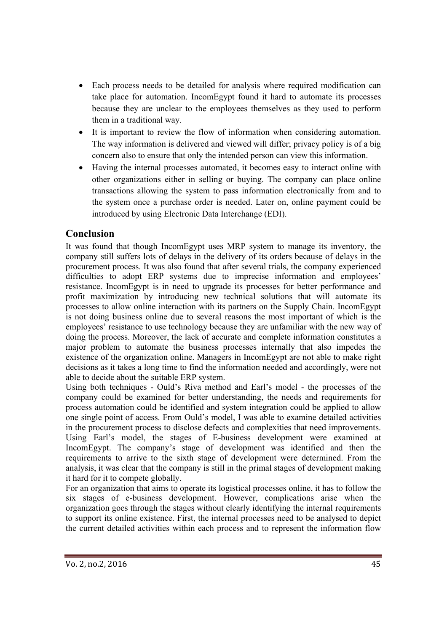- Each process needs to be detailed for analysis where required modification can take place for automation. IncomEgypt found it hard to automate its processes because they are unclear to the employees themselves as they used to perform them in a traditional way.
- It is important to review the flow of information when considering automation. The way information is delivered and viewed will differ; privacy policy is of a big concern also to ensure that only the intended person can view this information.
- Having the internal processes automated, it becomes easy to interact online with other organizations either in selling or buying. The company can place online transactions allowing the system to pass information electronically from and to the system once a purchase order is needed. Later on, online payment could be introduced by using Electronic Data Interchange (EDI).

# **Conclusion**

It was found that though IncomEgypt uses MRP system to manage its inventory, the company still suffers lots of delays in the delivery of its orders because of delays in the procurement process. It was also found that after several trials, the company experienced difficulties to adopt ERP systems due to imprecise information and employees' resistance. IncomEgypt is in need to upgrade its processes for better performance and profit maximization by introducing new technical solutions that will automate its processes to allow online interaction with its partners on the Supply Chain. IncomEgypt is not doing business online due to several reasons the most important of which is the employees' resistance to use technology because they are unfamiliar with the new way of doing the process. Moreover, the lack of accurate and complete information constitutes a major problem to automate the business processes internally that also impedes the existence of the organization online. Managers in IncomEgypt are not able to make right decisions as it takes a long time to find the information needed and accordingly, were not able to decide about the suitable ERP system.

Using both techniques - Ould's Riva method and Earl's model - the processes of the company could be examined for better understanding, the needs and requirements for process automation could be identified and system integration could be applied to allow one single point of access. From Ould's model, I was able to examine detailed activities in the procurement process to disclose defects and complexities that need improvements. Using Earl's model, the stages of E-business development were examined at IncomEgypt. The company's stage of development was identified and then the requirements to arrive to the sixth stage of development were determined. From the analysis, it was clear that the company is still in the primal stages of development making it hard for it to compete globally.

For an organization that aims to operate its logistical processes online, it has to follow the six stages of e-business development. However, complications arise when the organization goes through the stages without clearly identifying the internal requirements to support its online existence. First, the internal processes need to be analysed to depict the current detailed activities within each process and to represent the information flow